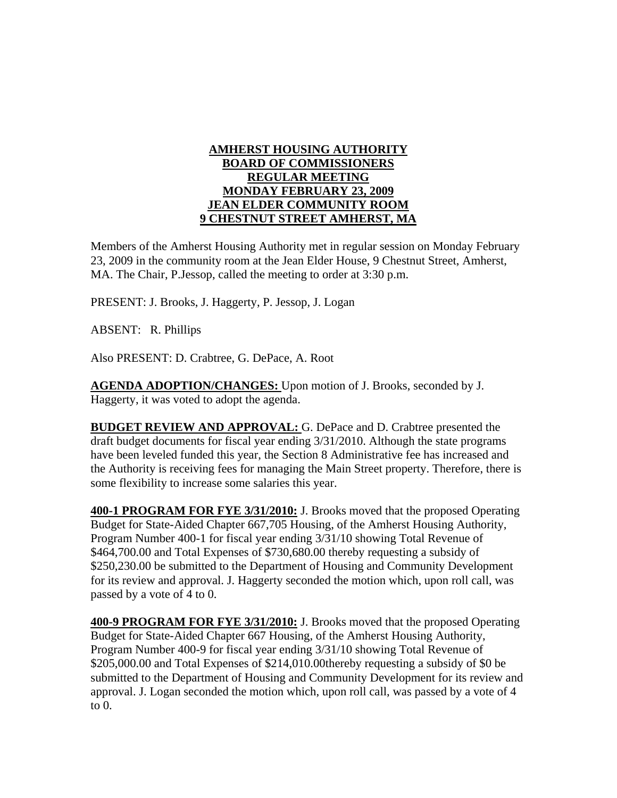## **AMHERST HOUSING AUTHORITY BOARD OF COMMISSIONERS REGULAR MEETING MONDAY FEBRUARY 23, 2009 JEAN ELDER COMMUNITY ROOM 9 CHESTNUT STREET AMHERST, MA**

Members of the Amherst Housing Authority met in regular session on Monday February 23, 2009 in the community room at the Jean Elder House, 9 Chestnut Street, Amherst, MA. The Chair, P.Jessop, called the meeting to order at 3:30 p.m.

PRESENT: J. Brooks, J. Haggerty, P. Jessop, J. Logan

ABSENT: R. Phillips

Also PRESENT: D. Crabtree, G. DePace, A. Root

**AGENDA ADOPTION/CHANGES:** Upon motion of J. Brooks, seconded by J. Haggerty, it was voted to adopt the agenda.

**BUDGET REVIEW AND APPROVAL:** G. DePace and D. Crabtree presented the draft budget documents for fiscal year ending 3/31/2010. Although the state programs have been leveled funded this year, the Section 8 Administrative fee has increased and the Authority is receiving fees for managing the Main Street property. Therefore, there is some flexibility to increase some salaries this year.

**400-1 PROGRAM FOR FYE 3/31/2010:** J. Brooks moved that the proposed Operating Budget for State-Aided Chapter 667,705 Housing, of the Amherst Housing Authority, Program Number 400-1 for fiscal year ending 3/31/10 showing Total Revenue of \$464,700.00 and Total Expenses of \$730,680.00 thereby requesting a subsidy of \$250,230.00 be submitted to the Department of Housing and Community Development for its review and approval. J. Haggerty seconded the motion which, upon roll call, was passed by a vote of 4 to 0.

**400-9 PROGRAM FOR FYE 3/31/2010:** J. Brooks moved that the proposed Operating Budget for State-Aided Chapter 667 Housing, of the Amherst Housing Authority, Program Number 400-9 for fiscal year ending 3/31/10 showing Total Revenue of \$205,000.00 and Total Expenses of \$214,010.00thereby requesting a subsidy of \$0 be submitted to the Department of Housing and Community Development for its review and approval. J. Logan seconded the motion which, upon roll call, was passed by a vote of 4 to 0.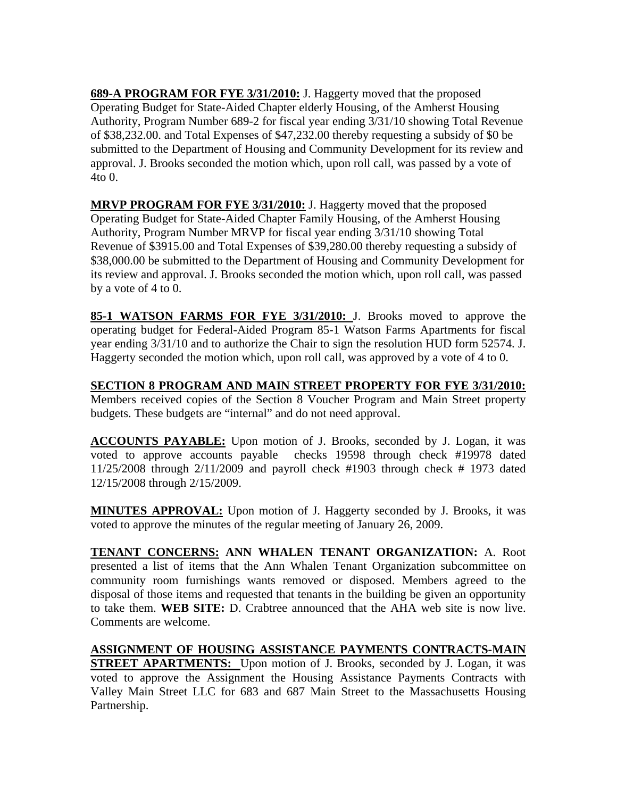**689-A PROGRAM FOR FYE 3/31/2010:** J. Haggerty moved that the proposed Operating Budget for State-Aided Chapter elderly Housing, of the Amherst Housing Authority, Program Number 689-2 for fiscal year ending 3/31/10 showing Total Revenue of \$38,232.00. and Total Expenses of \$47,232.00 thereby requesting a subsidy of \$0 be submitted to the Department of Housing and Community Development for its review and approval. J. Brooks seconded the motion which, upon roll call, was passed by a vote of 4to 0.

**MRVP PROGRAM FOR FYE 3/31/2010:** J. Haggerty moved that the proposed Operating Budget for State-Aided Chapter Family Housing, of the Amherst Housing Authority, Program Number MRVP for fiscal year ending 3/31/10 showing Total Revenue of \$3915.00 and Total Expenses of \$39,280.00 thereby requesting a subsidy of \$38,000.00 be submitted to the Department of Housing and Community Development for its review and approval. J. Brooks seconded the motion which, upon roll call, was passed by a vote of 4 to 0.

**85-1 WATSON FARMS FOR FYE 3/31/2010:** J. Brooks moved to approve the operating budget for Federal-Aided Program 85-1 Watson Farms Apartments for fiscal year ending 3/31/10 and to authorize the Chair to sign the resolution HUD form 52574. J. Haggerty seconded the motion which, upon roll call, was approved by a vote of 4 to 0.

**SECTION 8 PROGRAM AND MAIN STREET PROPERTY FOR FYE 3/31/2010:** Members received copies of the Section 8 Voucher Program and Main Street property budgets. These budgets are "internal" and do not need approval.

**ACCOUNTS PAYABLE:** Upon motion of J. Brooks, seconded by J. Logan, it was voted to approve accounts payable checks 19598 through check #19978 dated 11/25/2008 through 2/11/2009 and payroll check #1903 through check # 1973 dated 12/15/2008 through 2/15/2009.

**MINUTES APPROVAL:** Upon motion of J. Haggerty seconded by J. Brooks, it was voted to approve the minutes of the regular meeting of January 26, 2009.

**TENANT CONCERNS: ANN WHALEN TENANT ORGANIZATION:** A. Root presented a list of items that the Ann Whalen Tenant Organization subcommittee on community room furnishings wants removed or disposed. Members agreed to the disposal of those items and requested that tenants in the building be given an opportunity to take them. **WEB SITE:** D. Crabtree announced that the AHA web site is now live. Comments are welcome.

**ASSIGNMENT OF HOUSING ASSISTANCE PAYMENTS CONTRACTS-MAIN STREET APARTMENTS:** Upon motion of J. Brooks, seconded by J. Logan, it was voted to approve the Assignment the Housing Assistance Payments Contracts with Valley Main Street LLC for 683 and 687 Main Street to the Massachusetts Housing Partnership.